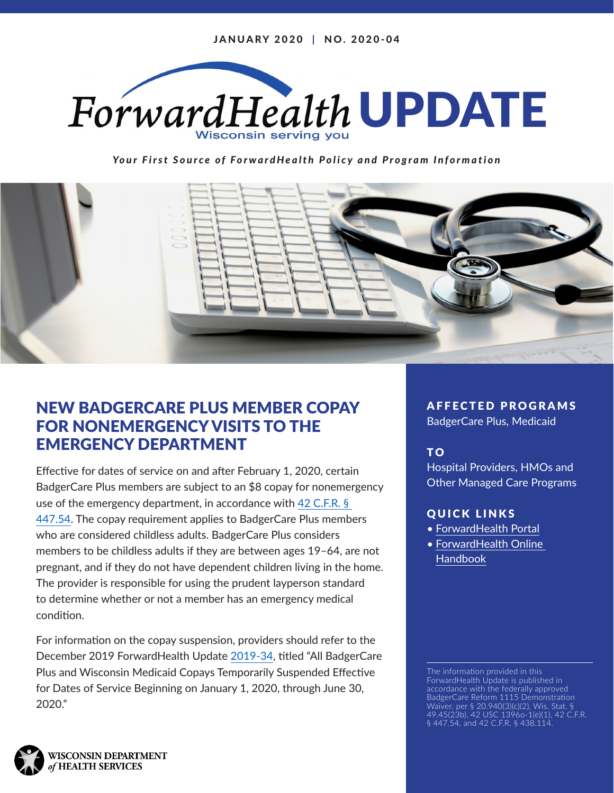

*Your First Source of ForwardHealth Policy and Program Information*



# NEW BADGERCARE PLUS MEMBER COPAY FOR NONEMERGENCY VISITS TO THE EMERGENCY DEPARTMENT

Effective for dates of service on and after February 1, 2020, certain BadgerCare Plus members are subject to an \$8 copay for nonemergency use of the emergency department, in accordance with [42 C.F.R. §](https://www.ecfr.gov/cgi-bin/text-idx?SID=12893738ccfaa24521685e65aa5a3509&mc=true&node=se42.4.447_154&rgn=div8)  [447.54](https://www.ecfr.gov/cgi-bin/text-idx?SID=12893738ccfaa24521685e65aa5a3509&mc=true&node=se42.4.447_154&rgn=div8). The copay requirement applies to BadgerCare Plus members who are considered childless adults. BadgerCare Plus considers members to be childless adults if they are between ages 19–64, are not pregnant, and if they do not have dependent children living in the home. The provider is responsible for using the prudent layperson standard to determine whether or not a member has an emergency medical condition.

For information on the copay suspension, providers should refer to the December 2019 ForwardHealth Update [2019-34](https://www.forwardhealth.wi.gov/kw/pdf/2019-34.pdf), titled "All BadgerCare Plus and Wisconsin Medicaid Copays Temporarily Suspended Effective for Dates of Service Beginning on January 1, 2020, through June 30, 2020."

AFFECTED PROGRAMS

BadgerCare Plus, Medicaid

## T O

Hospital Providers, HMOs and Other Managed Care Programs

### QUICK LINKS

- [ForwardHealth Portal](https://www.forwardhealth.wi.gov/WIPortal/)
- [ForwardHealth Online](https://www.forwardhealth.wi.gov/WIPortal/Subsystem/KW/Display.aspx)  [Handbook](https://www.forwardhealth.wi.gov/WIPortal/Subsystem/KW/Display.aspx)

The information provided in this ForwardHealth Update is published in accordance with the federally approved BadgerCare Reform 1115 Demonstration Waiver, per § 20.940(3)(c)(2), Wis. Stat. § 49.45(23b), 42 USC 1396o-1(e)(1), 42 C.F.R. § 447.54, and 42 C.F.R. § 438.114.

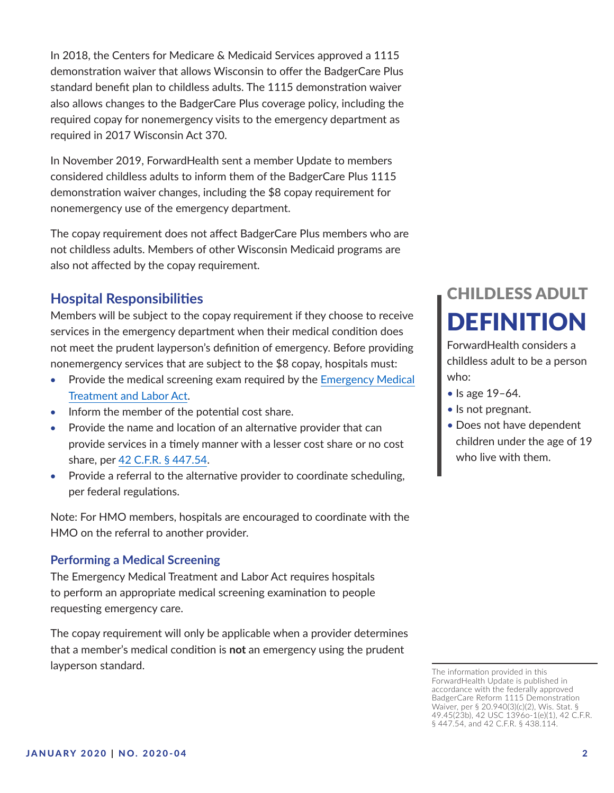In 2018, the Centers for Medicare & Medicaid Services approved a 1115 demonstration waiver that allows Wisconsin to offer the BadgerCare Plus standard benefit plan to childless adults. The 1115 demonstration waiver also allows changes to the BadgerCare Plus coverage policy, including the required copay for nonemergency visits to the emergency department as required in 2017 Wisconsin Act 370.

In November 2019, ForwardHealth sent a member Update to members considered childless adults to inform them of the BadgerCare Plus 1115 demonstration waiver changes, including the \$8 copay requirement for nonemergency use of the emergency department.

The copay requirement does not affect BadgerCare Plus members who are not childless adults. Members of other Wisconsin Medicaid programs are also not affected by the copay requirement.

## **Hospital Responsibilities**

Members will be subject to the copay requirement if they choose to receive services in the emergency department when their medical condition does not meet the prudent layperson's definition of emergency. Before providing nonemergency services that are subject to the \$8 copay, hospitals must:

- Provide the medical screening exam required by the Emergency Medical [Treatment and Labor Act](https://www.ssa.gov/OP_Home/ssact/title18/1867.htm).
- Inform the member of the potential cost share.
- Provide the name and location of an alternative provider that can provide services in a timely manner with a lesser cost share or no cost share, per [42 C.F.R. § 447.54.](https://www.ecfr.gov/cgi-bin/text-idx?SID=12893738ccfaa24521685e65aa5a3509&mc=true&node=se42.4.447_154&rgn=div8)
- Provide a referral to the alternative provider to coordinate scheduling, per federal regulations.

Note: For HMO members, hospitals are encouraged to coordinate with the HMO on the referral to another provider.

### **Performing a Medical Screening**

The Emergency Medical Treatment and Labor Act requires hospitals to perform an appropriate medical screening examination to people requesting emergency care.

The copay requirement will only be applicable when a provider determines that a member's medical condition is **not** an emergency using the prudent layperson standard.

# CHILDLESS ADULT **DEFINITION**

ForwardHealth considers a childless adult to be a person who:

- Is age 19-64.
- Is not pregnant.
- Does not have dependent children under the age of 19 who live with them.

The information provided in this ForwardHealth Update is published in accordance with the federally approved BadgerCare Reform 1115 Demonstration Waiver, per § 20.940(3)(c)(2), Wis. Stat. § 49.45(23b), 42 USC 1396o-1(e)(1), 42 C.F.R. § 447.54, and 42 C.F.R. § 438.114.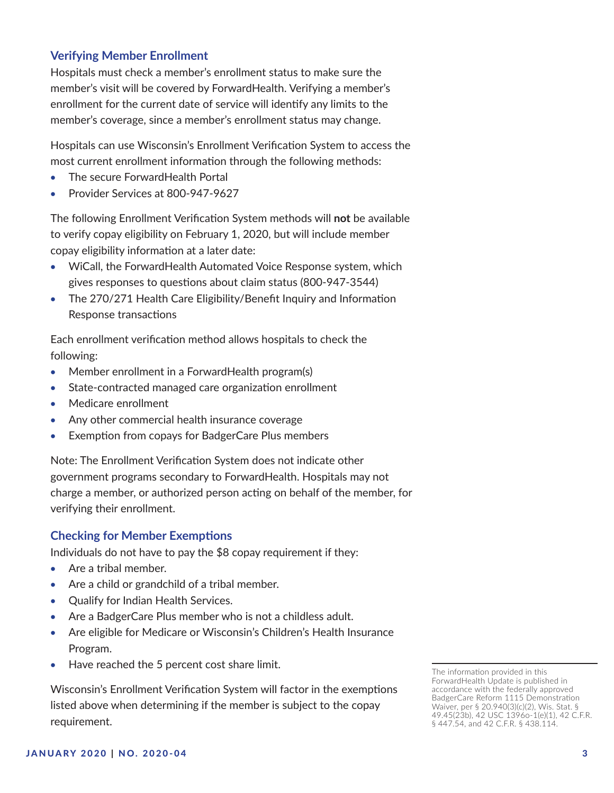#### **Verifying Member Enrollment**

Hospitals must check a member's enrollment status to make sure the member's visit will be covered by ForwardHealth. Verifying a member's enrollment for the current date of service will identify any limits to the member's coverage, since a member's enrollment status may change.

Hospitals can use Wisconsin's Enrollment Verification System to access the most current enrollment information through the following methods:

- The secure ForwardHealth Portal
- Provider Services at 800-947-9627

The following Enrollment Verification System methods will **not** be available to verify copay eligibility on February 1, 2020, but will include member copay eligibility information at a later date:

- WiCall, the ForwardHealth Automated Voice Response system, which gives responses to questions about claim status (800-947-3544)
- The 270/271 Health Care Eligibility/Benefit Inquiry and Information Response transactions

Each enrollment verification method allows hospitals to check the following:

- Member enrollment in a ForwardHealth program(s)
- State-contracted managed care organization enrollment
- Medicare enrollment
- Any other commercial health insurance coverage
- Exemption from copays for BadgerCare Plus members

Note: The Enrollment Verification System does not indicate other government programs secondary to ForwardHealth. Hospitals may not charge a member, or authorized person acting on behalf of the member, for verifying their enrollment.

#### **Checking for Member Exemptions**

Individuals do not have to pay the \$8 copay requirement if they:

- Are a tribal member.
- Are a child or grandchild of a tribal member.
- Qualify for Indian Health Services.
- Are a BadgerCare Plus member who is not a childless adult.
- Are eligible for Medicare or Wisconsin's Children's Health Insurance Program.
- Have reached the 5 percent cost share limit.

Wisconsin's Enrollment Verification System will factor in the exemptions listed above when determining if the member is subject to the copay requirement.

The information provided in this ForwardHealth Update is published in accordance with the federally approved BadgerCare Reform 1115 Demonstration Waiver, per § 20.940(3)(c)(2), Wis. Stat. § 49.45(23b), 42 USC 1396o-1(e)(1), 42 C.F.R. § 447.54, and 42 C.F.R. § 438.114.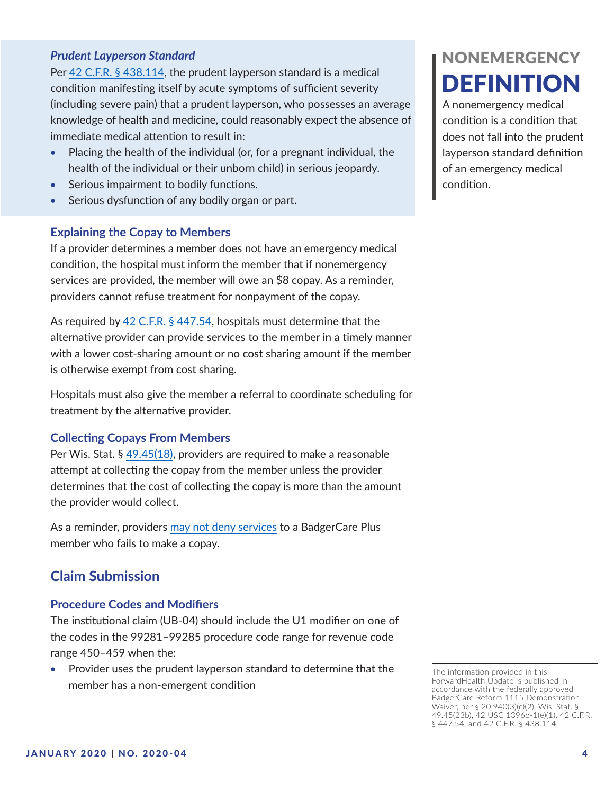#### *Prudent Layperson Standard*

Per [42 C.F.R. § 438.114,](https://www.ecfr.gov/cgi-bin/text-idx?SID=12893738ccfaa24521685e65aa5a3509&mc=true&node=se42.4.438_1114&rgn=div8) the prudent layperson standard is a medical condition manifesting itself by acute symptoms of sufficient severity (including severe pain) that a prudent layperson, who possesses an average knowledge of health and medicine, could reasonably expect the absence of immediate medical attention to result in:

- Placing the health of the individual (or, for a pregnant individual, the health of the individual or their unborn child) in serious jeopardy.
- Serious impairment to bodily functions.
- Serious dysfunction of any bodily organ or part.

#### **Explaining the Copay to Members**

If a provider determines a member does not have an emergency medical condition, the hospital must inform the member that if nonemergency services are provided, the member will owe an \$8 copay. As a reminder, providers cannot refuse treatment for nonpayment of the copay.

As required by [42 C.F.R. § 447.54](https://www.ecfr.gov/cgi-bin/text-idx?SID=12893738ccfaa24521685e65aa5a3509&mc=true&node=se42.4.447_154&rgn=div8), hospitals must determine that the alternative provider can provide services to the member in a timely manner with a lower cost-sharing amount or no cost sharing amount if the member is otherwise exempt from cost sharing.

Hospitals must also give the member a referral to coordinate scheduling for treatment by the alternative provider.

#### **Collecting Copays From Members**

Per Wis. Stat. § [49.45\(18\),](https://docs.legis.wisconsin.gov/statutes/statutes/49/IV/45/18?view=section) providers are required to make a reasonable attempt at collecting the copay from the member unless the provider determines that the cost of collecting the copay is more than the amount the provider would collect.

As a reminder, providers [may not deny services](https://www.ssa.gov/OP_Home/ssact/title19/1916.htm#act-1916-e) to a BadgerCare Plus member who fails to make a copay.

## **Claim Submission**

#### **Procedure Codes and Modifiers**

The institutional claim (UB-04) should include the U1 modifier on one of the codes in the 99281–99285 procedure code range for revenue code range 450–459 when the:

• Provider uses the prudent layperson standard to determine that the member has a non-emergent condition

# NONEMERGENCY **DEFINITION**

A nonemergency medical condition is a condition that does not fall into the prudent layperson standard definition of an emergency medical condition.

The information provided in this ForwardHealth Update is published in accordance with the federally approved BadgerCare Reform 1115 Demonstration Waiver, per § 20.940(3)(c)(2), Wis. Stat. § 49.45(23b), 42 USC 1396o-1(e)(1), 42 C.F.R. § 447.54, and 42 C.F.R. § 438.114.